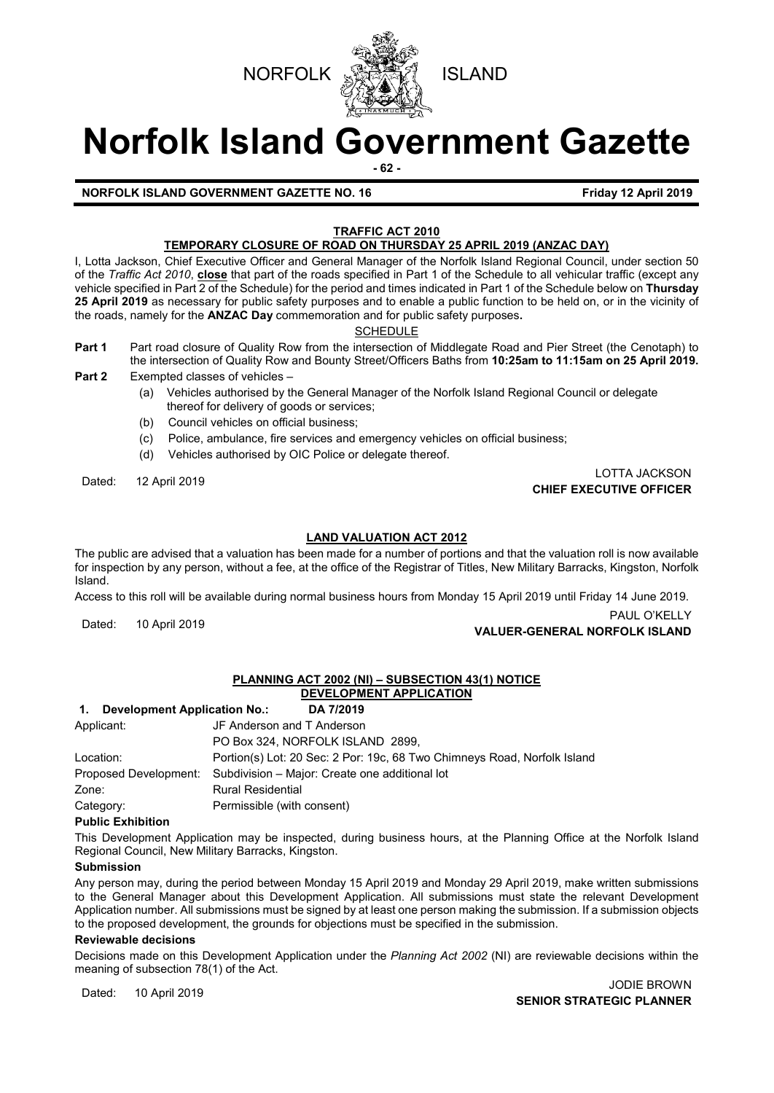



# **Norfolk Island Government Gazette**

**- 62 -**

### **NORFOLK ISLAND GOVERNMENT GAZETTE NO. 16 Friday 12 April 2019**

### **TRAFFIC ACT 2010 TEMPORARY CLOSURE OF ROAD ON THURSDAY 25 APRIL 2019 (ANZAC DAY)**

I, Lotta Jackson, Chief Executive Officer and General Manager of the Norfolk Island Regional Council, under section 50 of the *Traffic Act 2010*, **close** that part of the roads specified in Part 1 of the Schedule to all vehicular traffic (except any vehicle specified in Part 2 of the Schedule) for the period and times indicated in Part 1 of the Schedule below on **Thursday 25 April 2019** as necessary for public safety purposes and to enable a public function to be held on, or in the vicinity of the roads, namely for the **ANZAC Day** commemoration and for public safety purposes**.**

**SCHEDULE** 

- **Part 1** Part road closure of Quality Row from the intersection of Middlegate Road and Pier Street (the Cenotaph) to the intersection of Quality Row and Bounty Street/Officers Baths from **10:25am to 11:15am on 25 April 2019.**
- **Part 2** Exempted classes of vehicles
	- (a) Vehicles authorised by the General Manager of the Norfolk Island Regional Council or delegate thereof for delivery of goods or services;
	- (b) Council vehicles on official business;
	- (c) Police, ambulance, fire services and emergency vehicles on official business;
	- (d) Vehicles authorised by OIC Police or delegate thereof.

Dated: 12 April 2019 LOTTA JACKSON **CHIEF EXECUTIVE OFFICER**

### **LAND VALUATION ACT 2012**

The public are advised that a valuation has been made for a number of portions and that the valuation roll is now available for inspection by any person, without a fee, at the office of the Registrar of Titles, New Military Barracks, Kingston, Norfolk Island.

Access to this roll will be available during normal business hours from Monday 15 April 2019 until Friday 14 June 2019.

PAUL O'KELLY<br>**VALUER-GENERAL NORFOLK ISLAND** 

### **PLANNING ACT 2002 (NI) – SUBSECTION 43(1) NOTICE DEVELOPMENT APPLICATION**

## **1. Development Application No.: DA 7/2019**

| Applicant: | JF Anderson and T Anderson                                               |  |
|------------|--------------------------------------------------------------------------|--|
|            | PO Box 324, NORFOLK ISLAND 2899.                                         |  |
| Location:  | Portion(s) Lot: 20 Sec: 2 Por: 19c, 68 Two Chimneys Road, Norfolk Island |  |
|            | Proposed Development: Subdivision – Major: Create one additional lot     |  |
| Zone:      | <b>Rural Residential</b>                                                 |  |
| Category:  | Permissible (with consent)                                               |  |

### **Public Exhibition**

This Development Application may be inspected, during business hours, at the Planning Office at the Norfolk Island Regional Council, New Military Barracks, Kingston.

### **Submission**

Any person may, during the period between Monday 15 April 2019 and Monday 29 April 2019, make written submissions to the General Manager about this Development Application. All submissions must state the relevant Development Application number. All submissions must be signed by at least one person making the submission. If a submission objects to the proposed development, the grounds for objections must be specified in the submission.

### **Reviewable decisions**

Decisions made on this Development Application under the *Planning Act 2002* (NI) are reviewable decisions within the meaning of subsection 78(1) of the Act.

Dated: 10 April 2019<br>Dated: 10 April 2019 **SENIOR STRATEGIC PLANNER**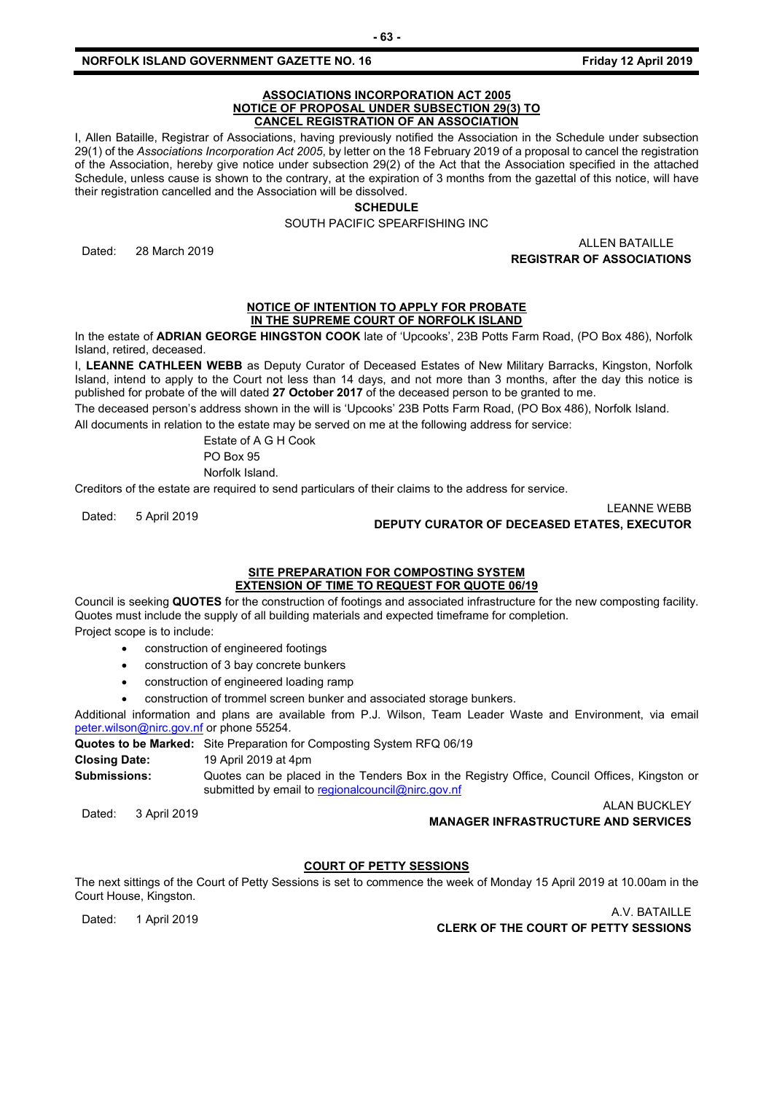### **NORFOLK ISLAND GOVERNMENT GAZETTE NO. 16 Friday 12 April 2019**

### **ASSOCIATIONS INCORPORATION ACT 2005 NOTICE OF PROPOSAL UNDER SUBSECTION 29(3) TO CANCEL REGISTRATION OF AN ASSOCIATION**

I, Allen Bataille, Registrar of Associations, having previously notified the Association in the Schedule under subsection 29(1) of the *Associations Incorporation Act 2005*, by letter on the 18 February 2019 of a proposal to cancel the registration of the Association, hereby give notice under subsection 29(2) of the Act that the Association specified in the attached Schedule, unless cause is shown to the contrary, at the expiration of 3 months from the gazettal of this notice, will have their registration cancelled and the Association will be dissolved.

### **SCHEDULE**

SOUTH PACIFIC SPEARFISHING INC

Dated: 28 March 2019 ALLEN BATAILLE **REGISTRAR OF ASSOCIATIONS**

### **NOTICE OF INTENTION TO APPLY FOR PROBATE IN THE SUPREME COURT OF NORFOLK ISLAND**

In the estate of **ADRIAN GEORGE HINGSTON COOK** late of 'Upcooks', 23B Potts Farm Road, (PO Box 486), Norfolk Island, retired, deceased.

I, **LEANNE CATHLEEN WEBB** as Deputy Curator of Deceased Estates of New Military Barracks, Kingston, Norfolk Island, intend to apply to the Court not less than 14 days, and not more than 3 months, after the day this notice is published for probate of the will dated **27 October 2017** of the deceased person to be granted to me.

The deceased person's address shown in the will is 'Upcooks' 23B Potts Farm Road, (PO Box 486), Norfolk Island.

All documents in relation to the estate may be served on me at the following address for service:

Estate of A G H Cook

PO Box 95

Norfolk Island.

Creditors of the estate are required to send particulars of their claims to the address for service.

Dated: 5 April 2019 LEANNE WEBB **DEPUTY CURATOR OF DECEASED ETATES, EXECUTOR**

### **SITE PREPARATION FOR COMPOSTING SYSTEM EXTENSION OF TIME TO REQUEST FOR QUOTE 06/19**

Council is seeking **QUOTES** for the construction of footings and associated infrastructure for the new composting facility. Quotes must include the supply of all building materials and expected timeframe for completion. Project scope is to include:

- construction of engineered footings
- construction of 3 bay concrete bunkers
- construction of engineered loading ramp
- construction of trommel screen bunker and associated storage bunkers.

Additional information and plans are available from P.J. Wilson, Team Leader Waste and Environment, via email [peter.wilson@nirc.gov.nf](mailto:peter.wilson@nirc.gov.nf) or phone 55254.

**Quotes to be Marked:** Site Preparation for Composting System RFQ 06/19

**Closing Date:** 19 April 2019 at 4pm

**Submissions:** Quotes can be placed in the Tenders Box in the Registry Office, Council Offices, Kingston or submitted by email t[o regionalcouncil@nirc.gov.nf](mailto:regionalcouncil@nirc.gov.nf)

ALAN BUCKLEY<br>MANAGER INFRASTRUCTURE AND SERVICES

### **COURT OF PETTY SESSIONS**

The next sittings of the Court of Petty Sessions is set to commence the week of Monday 15 April 2019 at 10.00am in the Court House, Kingston.

A.V. BATAILLE<br>**CLERK OF THE COURT OF PETTY SESSIONS CLERK OF THE COURT OF PETTY SESSIONS**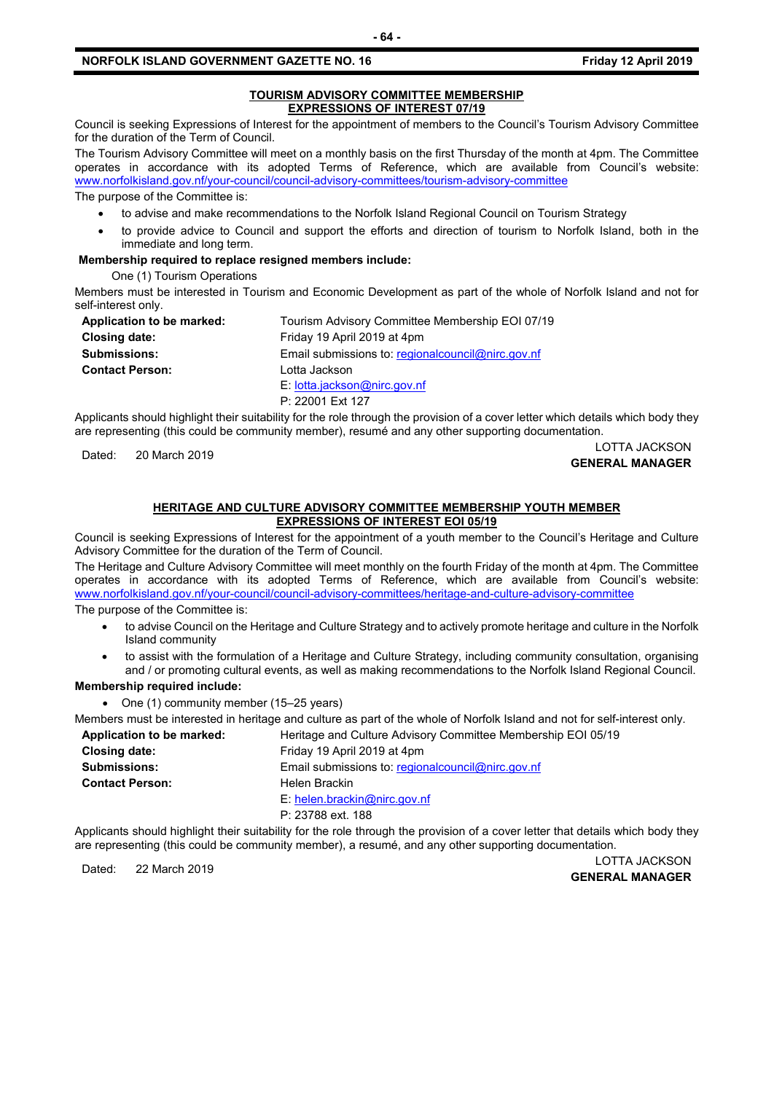### **NORFOLK ISLAND GOVERNMENT GAZETTE NO. 16 Friday 12 April 2019**

### **TOURISM ADVISORY COMMITTEE MEMBERSHIP EXPRESSIONS OF INTEREST 07/19**

Council is seeking Expressions of Interest for the appointment of members to the Council's Tourism Advisory Committee for the duration of the Term of Council.

The Tourism Advisory Committee will meet on a monthly basis on the first Thursday of the month at 4pm. The Committee operates in accordance with its adopted Terms of Reference, which are available from Council's website: [www.norfolkisland.gov.nf/your-council/council-advisory-committees/tourism-advisory-committee](http://www.norfolkisland.gov.nf/your-council/council-advisory-committees/tourism-advisory-committee)

The purpose of the Committee is:

- to advise and make recommendations to the Norfolk Island Regional Council on Tourism Strategy
- to provide advice to Council and support the efforts and direction of tourism to Norfolk Island, both in the immediate and long term.

### **Membership required to replace resigned members include:**

One (1) Tourism Operations

Members must be interested in Tourism and Economic Development as part of the whole of Norfolk Island and not for self-interest only.

| Application to be marked: | Tourism Advisory Committee Membership EOI 07/19     |
|---------------------------|-----------------------------------------------------|
| <b>Closing date:</b>      | Friday 19 April 2019 at 4pm                         |
| <b>Submissions:</b>       | Email submissions to: regional council @nirc.gov.nf |
| <b>Contact Person:</b>    | Lotta Jackson                                       |
|                           | E: lotta.jackson@nirc.gov.nf                        |
|                           | P: 22001 Ext 127                                    |

Applicants should highlight their suitability for the role through the provision of a cover letter which details which body they are representing (this could be community member), resumé and any other supporting documentation.

### Dated: 20 March 2019 LOTTA JACKSON **GENERAL MANAGER**

### **HERITAGE AND CULTURE ADVISORY COMMITTEE MEMBERSHIP YOUTH MEMBER EXPRESSIONS OF INTEREST EOI 05/19**

Council is seeking Expressions of Interest for the appointment of a youth member to the Council's Heritage and Culture Advisory Committee for the duration of the Term of Council.

The Heritage and Culture Advisory Committee will meet monthly on the fourth Friday of the month at 4pm. The Committee operates in accordance with its adopted Terms of Reference, which are available from Council's website: [www.norfolkisland.gov.nf/your-council/council-advisory-committees/heritage-and-culture-advisory-committee](http://www.norfolkisland.gov.nf/your-council/council-advisory-committees/heritage-and-culture-advisory-committee)

The purpose of the Committee is:

- to advise Council on the Heritage and Culture Strategy and to actively promote heritage and culture in the Norfolk Island community
- to assist with the formulation of a Heritage and Culture Strategy, including community consultation, organising and / or promoting cultural events, as well as making recommendations to the Norfolk Island Regional Council.

### **Membership required include:**

• One (1) community member (15–25 years)

Members must be interested in heritage and culture as part of the whole of Norfolk Island and not for self-interest only.

| Application to be marked: | Heritage and Culture Advisory Committee Membership EOI 05/19 |
|---------------------------|--------------------------------------------------------------|
| Closing date:             | Friday 19 April 2019 at 4pm                                  |
| <b>Submissions:</b>       | Email submissions to: regional council @nirc.gov.nf          |
| <b>Contact Person:</b>    | Helen Brackin                                                |
|                           | E: helen.brackin@nirc.gov.nf                                 |
|                           | P: 23788 ext. 188                                            |

Applicants should highlight their suitability for the role through the provision of a cover letter that details which body they are representing (this could be community member), a resumé, and any other supporting documentation.

Dated: 22 March 2019 LOTTA JACKSON **GENERAL MANAGER**